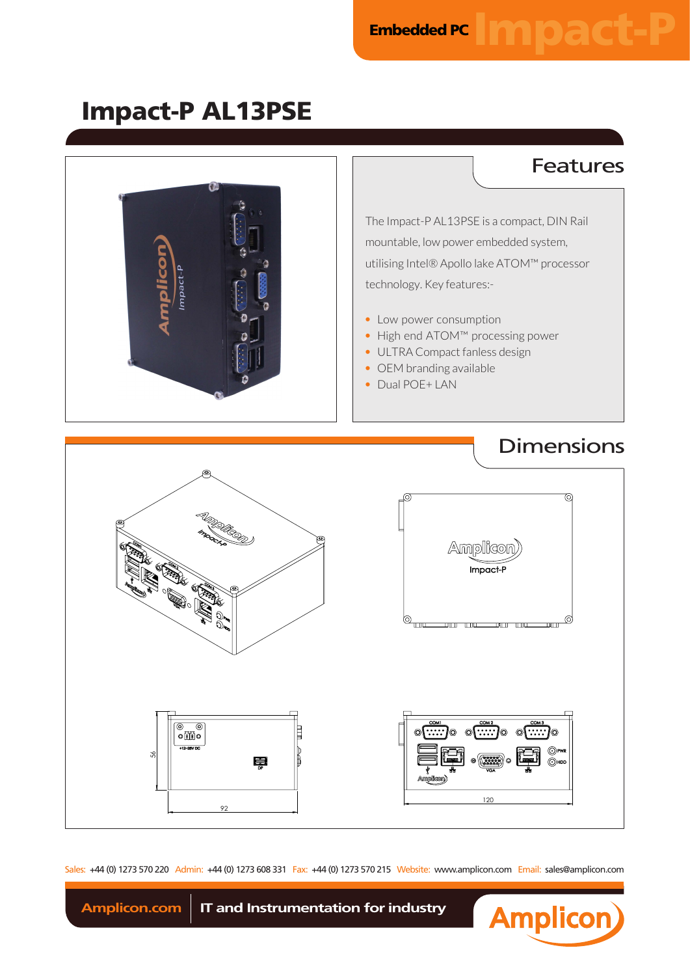Impact-P AL13PSE



Sales: +44 (0) 1273 570 220 Admin: +44 (0) 1273 608 331 Fax: +44 (0) 1273 570 215 Website: www.amplicon.com Email: sales@amplicon.com



Amplicon.com | IT and Instrumentation for industry